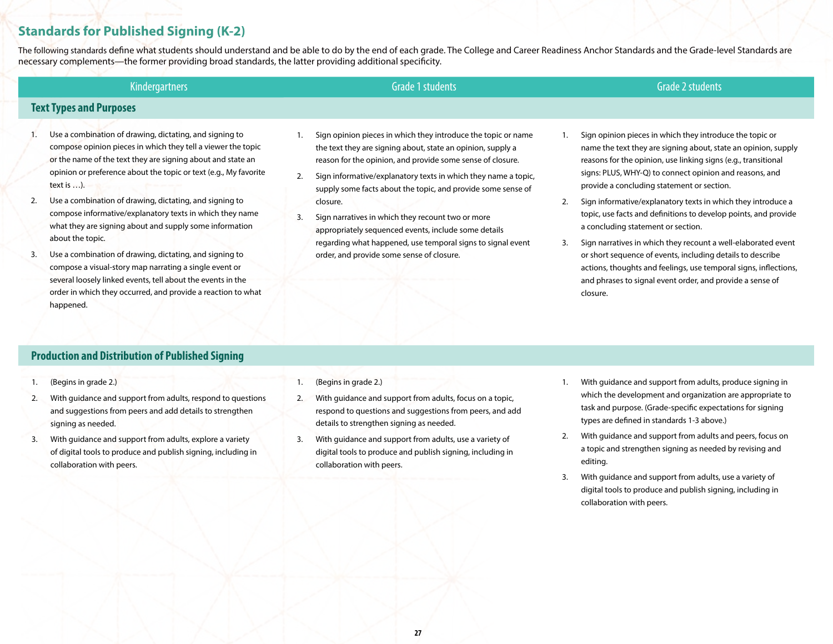# **Standards for Published Signing (K-2)**

The following standards define what students should understand and be able to do by the end of each grade. The College and Career Readiness Anchor Standards and the Grade-level Standards are necessary complements—the former providing broad standards, the latter providing additional specificity.

| <b>Kindergartners</b>                                                                                                                                                                  |  | Grade 1 students                                                                                                                                                                           |  | Grade 2 students                                                                                                                                                                             |  |
|----------------------------------------------------------------------------------------------------------------------------------------------------------------------------------------|--|--------------------------------------------------------------------------------------------------------------------------------------------------------------------------------------------|--|----------------------------------------------------------------------------------------------------------------------------------------------------------------------------------------------|--|
| <b>Text Types and Purposes</b>                                                                                                                                                         |  |                                                                                                                                                                                            |  |                                                                                                                                                                                              |  |
| Use a combination of drawing, dictating, and signing to<br>compose opinion pieces in which they tell a viewer the topic<br>or the name of the text they are signing about and state an |  | Sign opinion pieces in which they introduce the topic or name<br>the text they are signing about, state an opinion, supply a<br>reason for the opinion, and provide some sense of closure. |  | Sign opinion pieces in which they introduce the topic or<br>name the text they are signing about, state an opinion, supply<br>reasons for the opinion, use linking signs (e.g., transitional |  |
| opinion or preference about the topic or text (e.g., My favorite                                                                                                                       |  | Sign informative/explanatory texts in which they name a topic,                                                                                                                             |  | signs: PLUS, WHY-Q) to connect opinion and reasons, and                                                                                                                                      |  |

2. Sign informative/explanatory texts in which they introduce a topic, use facts and definitions to develop points, and provide a concluding statement or section.

provide a concluding statement or section.

3. Sign narratives in which they recount a well-elaborated event or short sequence of events, including details to describe actions, thoughts and feelings, use temporal signs, inflections, and phrases to signal event order, and provide a sense of closure.

- text is …).
- 2. Use a combination of drawing, dictating, and signing to compose informative/explanatory texts in which they name what they are signing about and supply some information about the topic.
- 3. Use a combination of drawing, dictating, and signing to compose a visual-story map narrating a single event or several loosely linked events, tell about the events in the order in which they occurred, and provide a reaction to what happened.
- 2. Sign informative/explanatory texts in which they name a topic, supply some facts about the topic, and provide some sense of closure.
- 3. Sign narratives in which they recount two or more appropriately sequenced events, include some details regarding what happened, use temporal signs to signal event order, and provide some sense of closure.

### **Production and Distribution of Published Signing**

- 1. (Begins in grade 2.)
- 2. With guidance and support from adults, respond to questions and suggestions from peers and add details to strengthen signing as needed.
- 3. With guidance and support from adults, explore a variety of digital tools to produce and publish signing, including in collaboration with peers.
- 1. (Begins in grade 2.)
- 2. With guidance and support from adults, focus on a topic, respond to questions and suggestions from peers, and add details to strengthen signing as needed.
- 3. With guidance and support from adults, use a variety of digital tools to produce and publish signing, including in collaboration with peers.
- 1. With guidance and support from adults, produce signing in which the development and organization are appropriate to task and purpose. (Grade-specific expectations for signing types are defined in standards 1-3 above.)
- 2. With guidance and support from adults and peers, focus on a topic and strengthen signing as needed by revising and editing.
- 3. With guidance and support from adults, use a variety of digital tools to produce and publish signing, including in collaboration with peers.